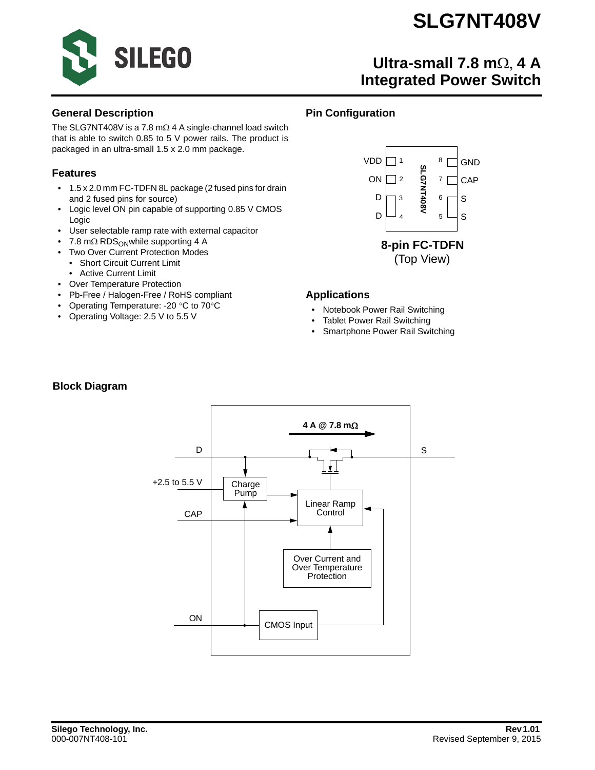

## **Ultra-small 7.8 m**Ω, **4 A Integrated Power Switch**

#### **General Description**

The SLG7NT408V is a 7.8 mΩ 4 A single-channel load switch that is able to switch 0.85 to 5 V power rails. The product is packaged in an ultra-small 1.5 x 2.0 mm package.

#### **Features**

- 1.5 x 2.0 mm FC-TDFN 8L package (2 fused pins for drain and 2 fused pins for source)
- Logic level ON pin capable of supporting 0.85 V CMOS Logic
- User selectable ramp rate with external capacitor
- 7.8 m $\Omega$  RDS<sub>ON</sub>while supporting 4 A
- Two Over Current Protection Modes
	- Short Circuit Current Limit
	- Active Current Limit
- Over Temperature Protection
- Pb-Free / Halogen-Free / RoHS compliant
- Operating Temperature: -20 °C to 70°C
- Operating Voltage: 2.5 V to 5.5 V

### **Pin Configuration**



#### **Applications**

- Notebook Power Rail Switching
- Tablet Power Rail Switching
- Smartphone Power Rail Switching

#### **Block Diagram**

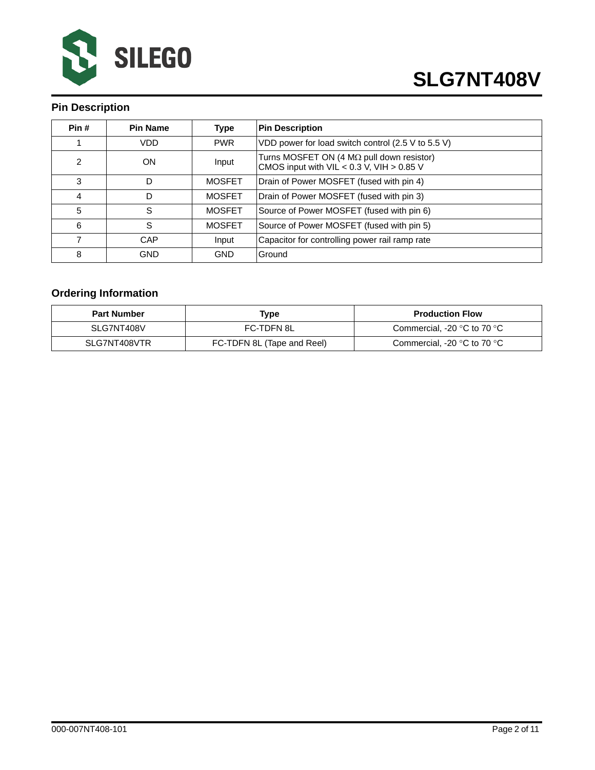

## **Pin Description**

| Pin#           | <b>Pin Name</b> | <b>Type</b>   | <b>Pin Description</b>                                                                            |
|----------------|-----------------|---------------|---------------------------------------------------------------------------------------------------|
|                | <b>VDD</b>      | <b>PWR</b>    | VDD power for load switch control (2.5 V to 5.5 V)                                                |
| $\overline{2}$ | <b>ON</b>       | Input         | Turns MOSFET ON (4 $M\Omega$ pull down resistor)<br>CMOS input with $VIL < 0.3$ V, $VIH > 0.85$ V |
| 3              | D               | <b>MOSFET</b> | Drain of Power MOSFET (fused with pin 4)                                                          |
| 4              | D               | <b>MOSFET</b> | Drain of Power MOSFET (fused with pin 3)                                                          |
| 5              | S               | <b>MOSFET</b> | Source of Power MOSFET (fused with pin 6)                                                         |
| 6              | S               | <b>MOSFET</b> | Source of Power MOSFET (fused with pin 5)                                                         |
|                | CAP             | Input         | Capacitor for controlling power rail ramp rate                                                    |
| 8              | <b>GND</b>      | <b>GND</b>    | Ground                                                                                            |

## **Ordering Information**

| <b>Part Number</b> | Type                       | <b>Production Flow</b>                        |
|--------------------|----------------------------|-----------------------------------------------|
| SLG7NT408V         | FC-TDFN 8L                 | Commercial, -20 $\degree$ C to 70 $\degree$ C |
| SLG7NT408VTR       | FC-TDFN 8L (Tape and Reel) | Commercial, -20 $\degree$ C to 70 $\degree$ C |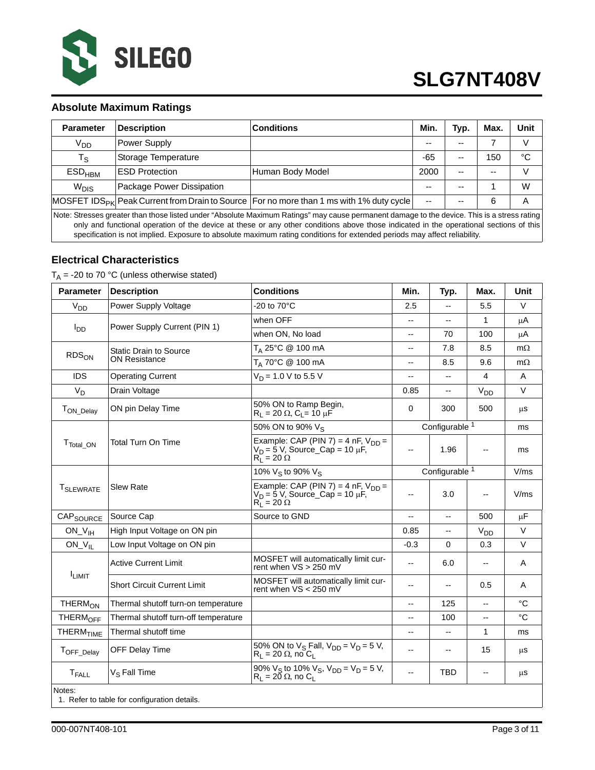

#### **Absolute Maximum Ratings**

| <b>Parameter</b>                                                                                                                                                                                                                                                                      | <b>Description</b>        | <b>Conditions</b>                                                                                     | Min.                     | Typ.  | Max.  | <b>Unit</b> |  |  |
|---------------------------------------------------------------------------------------------------------------------------------------------------------------------------------------------------------------------------------------------------------------------------------------|---------------------------|-------------------------------------------------------------------------------------------------------|--------------------------|-------|-------|-------------|--|--|
| <b>V<sub>DD</sub></b>                                                                                                                                                                                                                                                                 | Power Supply              |                                                                                                       | --                       |       |       |             |  |  |
| $T_{\rm S}$                                                                                                                                                                                                                                                                           | Storage Temperature       |                                                                                                       | $-65$                    | --    | 150   | °C          |  |  |
| $ESD_{HBM}$                                                                                                                                                                                                                                                                           | <b>ESD Protection</b>     | Human Body Model                                                                                      | 2000                     | $- -$ | $- -$ | V           |  |  |
| $W_{DIS}$                                                                                                                                                                                                                                                                             | Package Power Dissipation |                                                                                                       | --                       | --    |       | W           |  |  |
|                                                                                                                                                                                                                                                                                       |                           | MOSFET IDS <sub>PK</sub> Peak Current from Drain to Source   For no more than 1 ms with 1% duty cycle | $\overline{\phantom{a}}$ | --    | 6     | А           |  |  |
| Note: Stresses greater than those listed under "Absolute Maximum Ratings" may cause permanent damage to the device. This is a stress rating<br>only and functional operation of the device at these or any other conditions above those indicated in the operational sections of this |                           |                                                                                                       |                          |       |       |             |  |  |

specification is not implied. Exposure to absolute maximum rating conditions for extended periods may affect reliability.

#### **Electrical Characteristics**

 $T_A$  = -20 to 70 °C (unless otherwise stated)

| <b>Parameter</b>      | <b>Description</b>                           | <b>Conditions</b>                                                                                      | Min.                     | Typ.                     | Max.                     | <b>Unit</b> |
|-----------------------|----------------------------------------------|--------------------------------------------------------------------------------------------------------|--------------------------|--------------------------|--------------------------|-------------|
| V <sub>DD</sub>       | Power Supply Voltage                         | -20 to 70°C                                                                                            | 2.5                      | Ξ.                       | 5.5                      | $\vee$      |
|                       | Power Supply Current (PIN 1)                 | when OFF                                                                                               | --                       | $\overline{\phantom{a}}$ | 1                        | μA          |
| l <sub>DD</sub>       |                                              | when ON, No load                                                                                       | --                       | 70                       | 100                      | μA          |
|                       | <b>Static Drain to Source</b>                | T <sub>A</sub> 25°C @ 100 mA                                                                           | $-$                      | 7.8                      | 8.5                      | $m\Omega$   |
| $RDS_{ON}$            | <b>ON Resistance</b>                         | T <sub>A</sub> 70°C @ 100 mA                                                                           | $-$                      | 8.5                      | 9.6                      | $m\Omega$   |
| <b>IDS</b>            | <b>Operating Current</b>                     | $V_D$ = 1.0 V to 5.5 V                                                                                 | $\overline{\phantom{a}}$ | $\overline{\phantom{a}}$ | 4                        | A           |
| $V_D$                 | Drain Voltage                                |                                                                                                        | 0.85                     |                          | V <sub>DD</sub>          | V           |
| T <sub>ON_Delay</sub> | ON pin Delay Time                            | 50% ON to Ramp Begin,<br>$R_1 = 20 \Omega$ , $C_1 = 10 \mu F$                                          | 0                        | 300                      | 500                      | μS          |
|                       |                                              | 50% ON to 90% Vs                                                                                       |                          | Configurable 1           |                          | ms          |
| T <sub>Total_ON</sub> | <b>Total Turn On Time</b>                    | Example: CAP (PIN 7) = 4 nF, $V_{DD}$ =<br>$V_D = 5$ V, Source_Cap = 10 µF,<br>$R_1 = 20 \Omega$       | $\overline{\phantom{a}}$ | 1.96                     |                          | ms          |
|                       |                                              | 10% $V_S$ to 90% $V_S$                                                                                 | Configurable 1           |                          |                          | V/ms        |
| <b>T</b> SLEWRATE     | Slew Rate                                    | Example: CAP (PIN 7) = 4 nF, $V_{DD}$ =<br>$V_D = 5$ V, Source_Cap = 10 µF,<br>$R_1^{\nu} = 20 \Omega$ | $\overline{a}$           | 3.0                      |                          | V/ms        |
| CAP <sub>SOURCE</sub> | Source Cap                                   | Source to GND                                                                                          | --                       | $-$                      | 500                      | $\mu$ F     |
| $ON_V$ <sub>IH</sub>  | High Input Voltage on ON pin                 |                                                                                                        | 0.85                     | $\overline{\phantom{a}}$ | V <sub>DD</sub>          | $\vee$      |
| $ON_V_{IL}$           | Low Input Voltage on ON pin                  |                                                                                                        | $-0.3$                   | $\mathbf 0$              | 0.3                      | V           |
|                       | <b>Active Current Limit</b>                  | MOSFET will automatically limit cur-<br>rent when VS > 250 mV                                          | $\overline{\phantom{a}}$ | 6.0                      | $\overline{\phantom{a}}$ | Α           |
| <b>ILIMIT</b>         | <b>Short Circuit Current Limit</b>           | MOSFET will automatically limit cur-<br>rent when VS < 250 mV                                          | --                       | $-$                      | 0.5                      | A           |
| THERM <sub>ON</sub>   | Thermal shutoff turn-on temperature          |                                                                                                        | $\overline{\phantom{a}}$ | 125                      | --                       | $^{\circ}C$ |
| THERM <sub>OFF</sub>  | Thermal shutoff turn-off temperature         |                                                                                                        | $\overline{\phantom{a}}$ | 100                      | $\overline{a}$           | $^{\circ}C$ |
| THERM <sub>TIME</sub> | Thermal shutoff time                         |                                                                                                        | --                       | --                       | 1                        | ms          |
| TOFF_Delay            | OFF Delay Time                               | 50% ON to $V_S$ Fall, $V_{DD} = V_D = 5 V$ ,<br>$R_1 = 20 \Omega$ , no $C_1$                           | --                       | --                       | 15                       | μS          |
| $T_{\sf FALL}$        | V <sub>S</sub> Fall Time                     | 90% $V_S$ to 10% $V_S$ , $V_{DD} = V_D = 5$ V,<br>$R_1 = 20 \Omega$ , no C <sub>1</sub>                | $\overline{\phantom{a}}$ | <b>TBD</b>               | $-$                      | $\mu$ s     |
| Notes:                | 1. Refer to table for configuration details. |                                                                                                        |                          |                          |                          |             |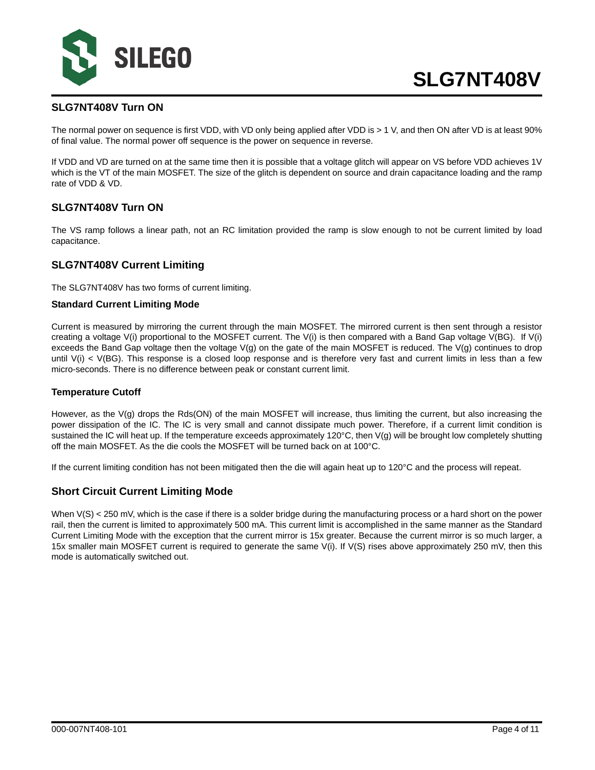

#### **SLG7NT408V Turn ON**

The normal power on sequence is first VDD, with VD only being applied after VDD is > 1 V, and then ON after VD is at least 90% of final value. The normal power off sequence is the power on sequence in reverse.

If VDD and VD are turned on at the same time then it is possible that a voltage glitch will appear on VS before VDD achieves 1V which is the VT of the main MOSFET. The size of the glitch is dependent on source and drain capacitance loading and the ramp rate of VDD & VD.

#### **SLG7NT408V Turn ON**

The VS ramp follows a linear path, not an RC limitation provided the ramp is slow enough to not be current limited by load capacitance.

#### **SLG7NT408V Current Limiting**

The SLG7NT408V has two forms of current limiting.

#### **Standard Current Limiting Mode**

Current is measured by mirroring the current through the main MOSFET. The mirrored current is then sent through a resistor creating a voltage V(i) proportional to the MOSFET current. The V(i) is then compared with a Band Gap voltage V(BG). If V(i) exceeds the Band Gap voltage then the voltage  $V(g)$  on the gate of the main MOSFET is reduced. The  $V(g)$  continues to drop until  $V(i) < V(BG)$ . This response is a closed loop response and is therefore very fast and current limits in less than a few micro-seconds. There is no difference between peak or constant current limit.

#### **Temperature Cutoff**

However, as the V(g) drops the Rds(ON) of the main MOSFET will increase, thus limiting the current, but also increasing the power dissipation of the IC. The IC is very small and cannot dissipate much power. Therefore, if a current limit condition is sustained the IC will heat up. If the temperature exceeds approximately 120°C, then V(g) will be brought low completely shutting off the main MOSFET. As the die cools the MOSFET will be turned back on at 100°C.

If the current limiting condition has not been mitigated then the die will again heat up to 120°C and the process will repeat.

#### **Short Circuit Current Limiting Mode**

When V(S) < 250 mV, which is the case if there is a solder bridge during the manufacturing process or a hard short on the power rail, then the current is limited to approximately 500 mA. This current limit is accomplished in the same manner as the Standard Current Limiting Mode with the exception that the current mirror is 15x greater. Because the current mirror is so much larger, a 15x smaller main MOSFET current is required to generate the same V(i). If V(S) rises above approximately 250 mV, then this mode is automatically switched out.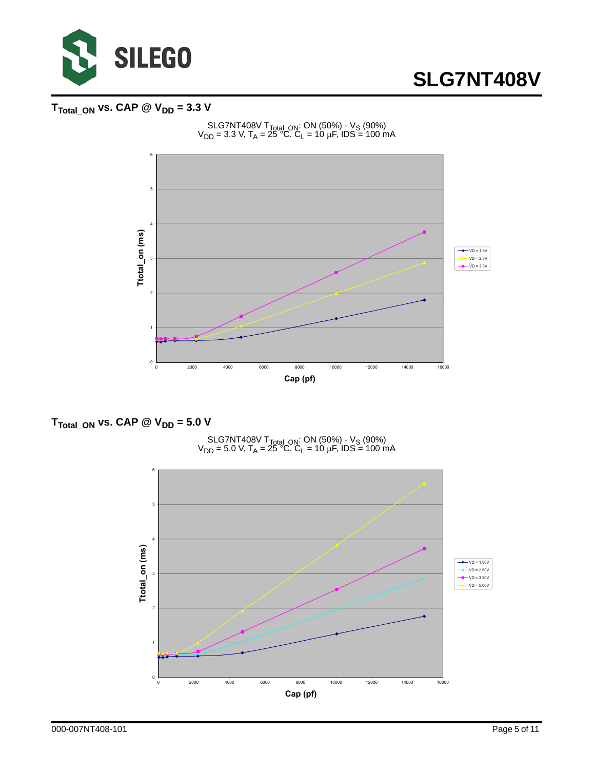

## $T_{\text{Total\_ON}}$  vs. CAP  $\textcircled{2}$  V<sub>DD</sub> = 3.3 V



#### SLG7NT408V T<sub>Total\_ON</sub>: ON (50%) - V<sub>S</sub> (90%)  $V_{DD}$  = 3.3 V, T<sub>A</sub> = 25<sup>°°</sup>C. C<sub>L</sub> = 10 μF, IDS = 100 mA

### $T_{\text{Total ON}}$  vs. CAP @  $V_{\text{DD}} = 5.0$  V



SLG7NT408V T<sub>Total\_ON</sub>: ON (50%) - V<sub>S</sub> (90%)  $V_{DD}$  = 5.0 V, T<sub>A</sub> = 25<sup>°°</sup>C. C<sub>L</sub> = 10 μF, IDS = 100 mA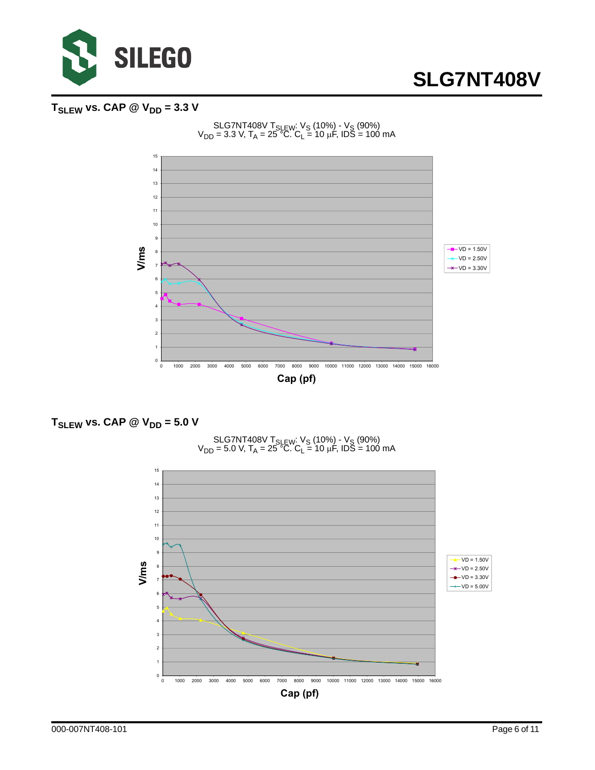

## $T_{SLEW}$  vs. CAP  $\textcircled{2}$  V<sub>DD</sub> = 3.3 V









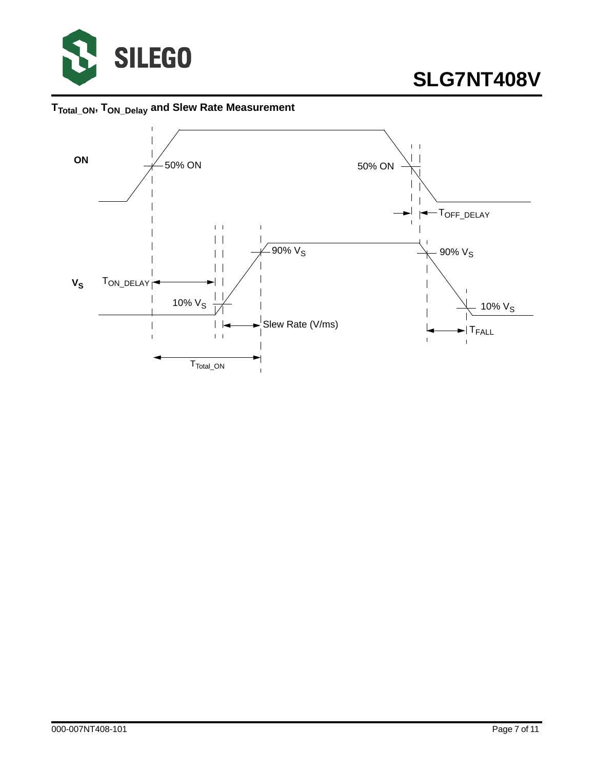

**TTotal\_ON, TON\_Delay and Slew Rate Measurement** 

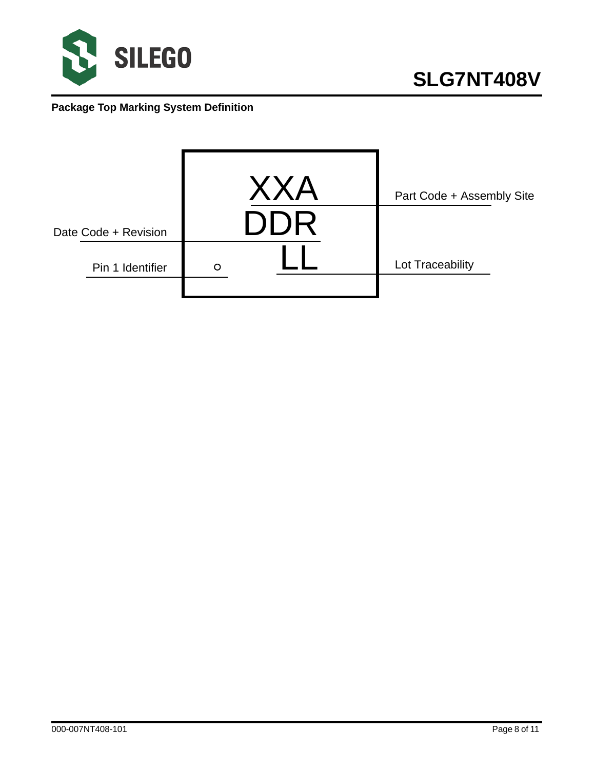

## **Package Top Marking System Definition**

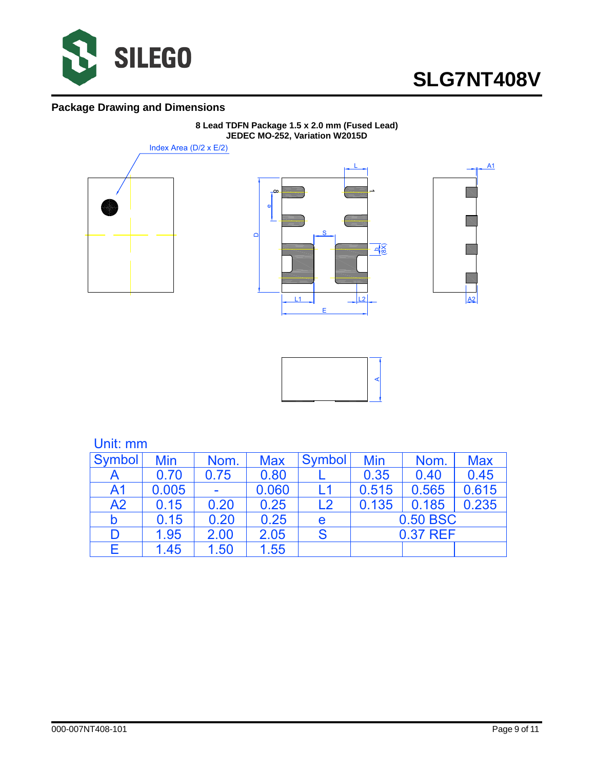

### **Package Drawing and Dimensions**



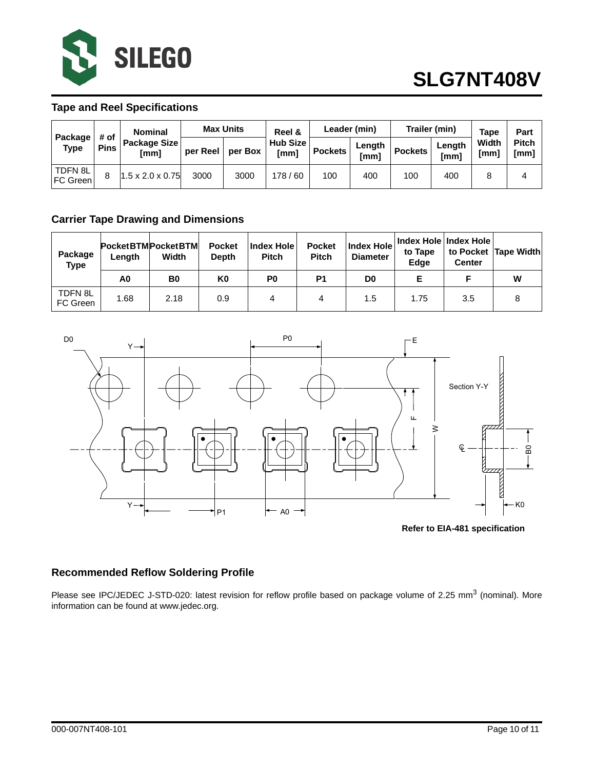

#### **Tape and Reel Specifications**

| Package<br><b>Type</b>     | # of<br><b>Pins</b> | <b>Nominal</b><br>Package Size<br>[mm] | <b>Max Units</b> |         | Reel &           | Leader (min) |                | Trailer (min)  |                | <b>Tape</b>   | Part                 |
|----------------------------|---------------------|----------------------------------------|------------------|---------|------------------|--------------|----------------|----------------|----------------|---------------|----------------------|
|                            |                     |                                        | per Reel         | per Box | Hub Size<br>[mm] | l Pockets    | Length<br>[mm] | <b>Pockets</b> | Lenath<br>[mm] | Width<br>[mm] | <b>Pitch</b><br>[mm] |
| TDFN 8L<br><b>FC Green</b> |                     | $1.5 \times 2.0 \times 0.75$           | 3000             | 3000    | 178 / 60         | 100          | 400            | 100            | 400            |               |                      |

### **Carrier Tape Drawing and Dimensions**

| Package<br><b>Type</b> | PocketBTMPocketBTM<br>Length | Width          | <b>Pocket</b><br><b>Depth</b> | <b>Index Hole</b><br><b>Pitch</b> | <b>Pocket</b><br><b>Pitch</b> | <b>Index Hole</b><br><b>Diameter</b> | Index Hole   Index Hole  <br>to Tape<br>Edge | <b>Center</b> | to Pocket Tape Width |
|------------------------|------------------------------|----------------|-------------------------------|-----------------------------------|-------------------------------|--------------------------------------|----------------------------------------------|---------------|----------------------|
|                        | A0                           | B <sub>0</sub> | K0                            | P0                                | P1                            | D <sub>0</sub>                       |                                              |               | W                    |
| TDFN 8L<br>FC Green    | 1.68                         | 2.18           | 0.9                           | 4                                 |                               | 1.5                                  | 1.75                                         | 3.5           |                      |



**Refer to EIA-481 specification**

### **Recommended Reflow Soldering Profile**

Please see IPC/JEDEC J-STD-020: latest revision for reflow profile based on package volume of 2.25 mm<sup>3</sup> (nominal). More information can be found at www.jedec.org.